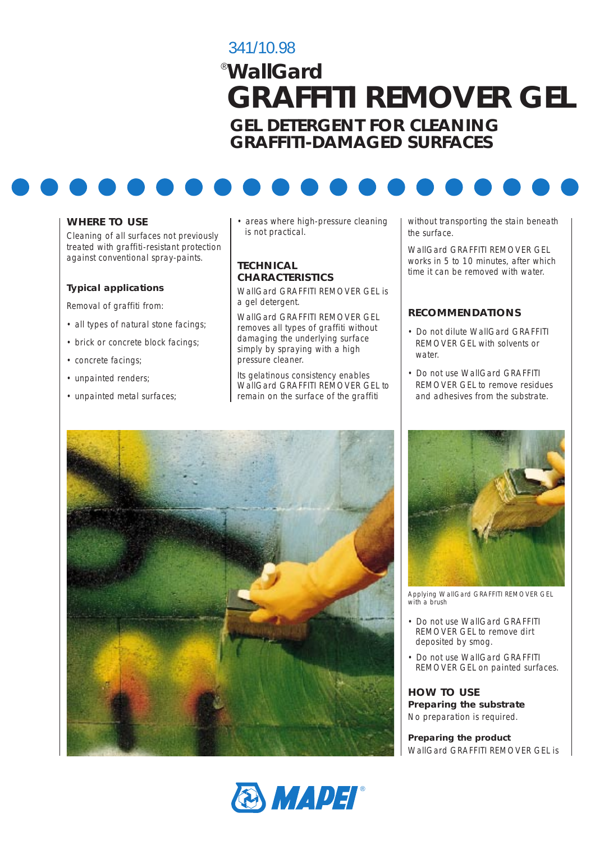# 341/10.98 *WallGard* ® **GRAFFITI REMOVER GEL GEL DETERGENT FOR CLEANING GRAFFITI-DAMAGED SURFACES**



## **WHERE TO USE**

Cleaning of all surfaces not previously treated with graffiti-resistant protection against conventional spray-paints.

#### **Typical applications**

Removal of graffiti from:

- all types of natural stone facings;
- brick or concrete block facings:
- concrete facings;
- unpainted renders;
- unpainted metal surfaces;

• areas where high-pressure cleaning is not practical.

#### **TECHNICAL CHARACTERISTICS**

WallGard GRAFFITI REMOVER GEL is a gel detergent.

WallGard GRAFFITI REMOVER GEL removes all types of graffiti without damaging the underlying surface simply by spraying with a high pressure cleaner.

Its gelatinous consistency enables WallGard GRAFFITI REMOVER GEL to remain on the surface of the graffiti

without transporting the stain beneath the surface.

WallGard GRAFFITI REMOVER GEL works in 5 to 10 minutes, after which time it can be removed with water.

## **RECOMMENDATIONS**

- Do not dilute WallGard GRAFFITI REMOVER GEL with solvents or water
- Do not use WallGard GRAFFITI REMOVER GEL to remove residues and adhesives from the substrate.







*Applying WallGard GRAFFITI REMOVER GEL with a brush*

- Do not use WallGard GRAFFITI REMOVER GEL to remove dirt deposited by smog.
- Do not use WallGard GRAFFITI REMOVER GEL on painted surfaces.

**HOW TO USE Preparing the substrate** No preparation is required.

**Preparing the product** WallGard GRAFFITI REMOVER GFI is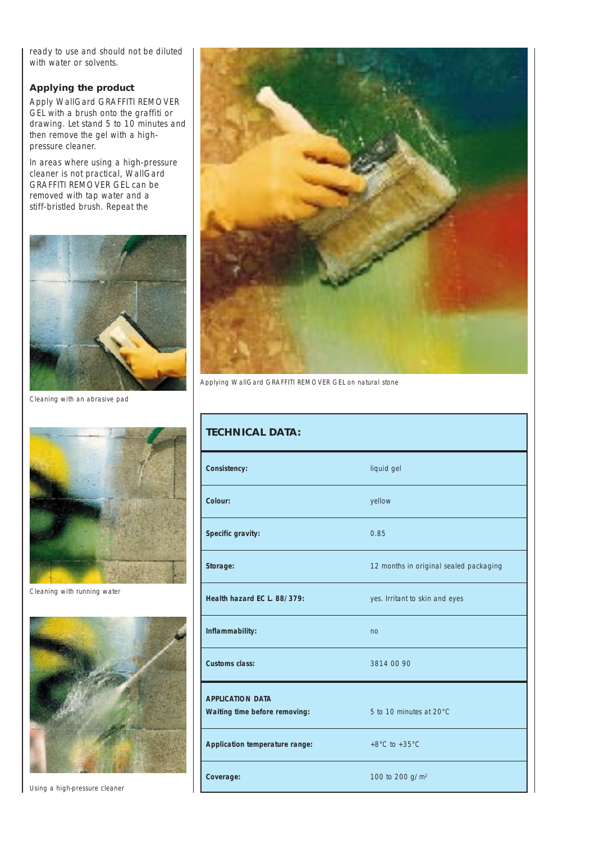ready to use and should not be diluted with water or solvents.

## **Applying the product**

Apply WallGard GRAFFITI REMOVER GEL with a brush onto the graffiti or drawing. Let stand 5 to 10 minutes and then remove the gel with a highpressure cleaner.

In areas where using a high-pressure cleaner is not practical, WallGard GRAFFITI REMOVER GEL can be removed with tap water and a stiff-bristled brush. Repeat the



*Cleaning with an abrasive pad*



*Cleaning with running water*



*Using a high-pressure cleaner*



*Applying WallGard GRAFFITI REMOVER GEL on natural stone*

| <b>TECHNICAL DATA:</b>                                   |                                        |
|----------------------------------------------------------|----------------------------------------|
| Consistency:                                             | liquid gel                             |
| Colour:                                                  | yellow                                 |
| Specific gravity:                                        | 0.85                                   |
| Storage:                                                 | 12 months in original sealed packaging |
| Health hazard EC L. 88/379:                              | yes. Irritant to skin and eyes         |
| Inflammability:                                          | no                                     |
| <b>Customs class:</b>                                    | 3814 00 90                             |
| <b>APPLICATION DATA</b><br>Waiting time before removing: | 5 to 10 minutes at 20°C                |
| Application temperature range:                           | +8 $^{\circ}$ C to +35 $^{\circ}$ C    |
| Coverage:                                                | 100 to 200 g/m <sup>2</sup>            |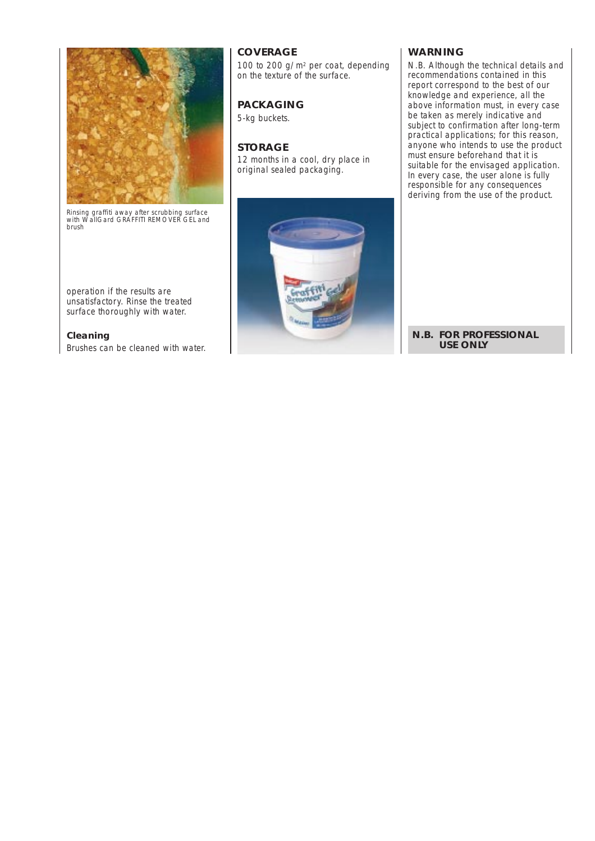

*Rinsing graffiti away after scrubbing surface with WallGard GRAFFITI REMOVER GEL and brush*

operation if the results are unsatisfactory. Rinse the treated surface thoroughly with water.

**Cleaning** Brushes can be cleaned with water.

# **COVERAGE**

100 to 200 g/m2 per coat, depending on the texture of the surface.

# **PACKAGING**

5-kg buckets.

## **STORAGE**

12 months in a cool, dry place in original sealed packaging.



### **WARNING**

*N.B. Although the technical details and recommendations contained in this report correspond to the best of our knowledge and experience, all the above information must, in every case be taken as merely indicative and subject to confirmation after long-term practical applications; for this reason, anyone who intends to use the product must ensure beforehand that it is suitable for the envisaged application. In every case, the user alone is fully responsible for any consequences deriving from the use of the product.*

### **N.B. FOR PROFESSIONAL USE ONLY**